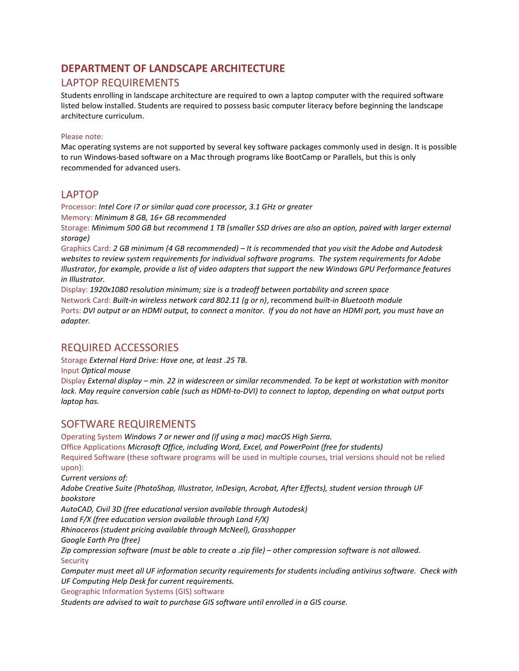# **DEPARTMENT OF LANDSCAPE ARCHITECTURE**

#### LAPTOP REQUIREMENTS

Students enrolling in landscape architecture are required to own a laptop computer with the required software listed below installed. Students are required to possess basic computer literacy before beginning the landscape architecture curriculum.

#### Please note:

Mac operating systems are not supported by several key software packages commonly used in design. It is possible to run Windows-based software on a Mac through programs like BootCamp or Parallels, but this is only recommended for advanced users.

#### LAPTOP

Processor: *Intel Core i7 or similar quad core processor, 3.1 GHz or greater* Memory: *Minimum 8 GB, 16+ GB recommended* 

Storage: *Minimum 500 GB but recommend 1 TB (smaller SSD drives are also an option, paired with larger external storage)*

Graphics Card: *2 GB minimum (4 GB recommended) – It is recommended that you visit the Adobe and Autodesk websites to review system requirements for individual software programs. The system requirements for Adobe Illustrator, for example, provide a list of video adapters that support the new Windows GPU Performance features in Illustrator.* 

Display: *1920x1080 resolution minimum; size is a tradeoff between portability and screen space*  Network Card: *Built-in wireless network card 802.11 (g or n)*, recommend *built-in Bluetooth module* Ports: *DVI output or an HDMI output, to connect a monitor. If you do not have an HDMI port, you must have an adapter.*

### REQUIRED ACCESSORIES

Storage *External Hard Drive: Have one, at least .25 TB.* 

Input *Optical mouse* 

Display *External display – min. 22 in widescreen or similar recommended. To be kept at workstation with monitor lock. May require conversion cable (such as HDMI-to-DVI) to connect to laptop, depending on what output ports laptop has.*

#### SOFTWARE REQUIREMENTS

Operating System *Windows 7 or newer and (if using a mac) macOS High Sierra.* Office Applications *Microsoft Office, including Word, Excel, and PowerPoint (free for students)* Required Software (these software programs will be used in multiple courses, trial versions should not be relied upon):

*Current versions of:*

*Adobe Creative Suite (PhotoShop, Illustrator, InDesign, Acrobat, After Effects), student version through UF bookstore*

*AutoCAD, Civil 3D [\(free educational version available through Autodesk\)](http://www.autodesk.com/education/free-software/all)*

*Land F/X (free education version available through Land F/X)*

*Rhinoceros [\(student pricing available through McNeel\)](https://www.rhino3d.com/edu), Grasshopper*

*Google Earth Pro [\(free\)](https://www.google.com/earth/explore/products/desktop.html)*

*Zip compression software (must be able to create a .zip file) – other compression software is not allowed.* **Security** 

*Computer must meet all UF information security requirements for students including antivirus software. Check with UF Computing Help Desk for current requirements.*

Geographic Information Systems (GIS) software

*Students are advised to wait to purchase GIS software until enrolled in a GIS course.*